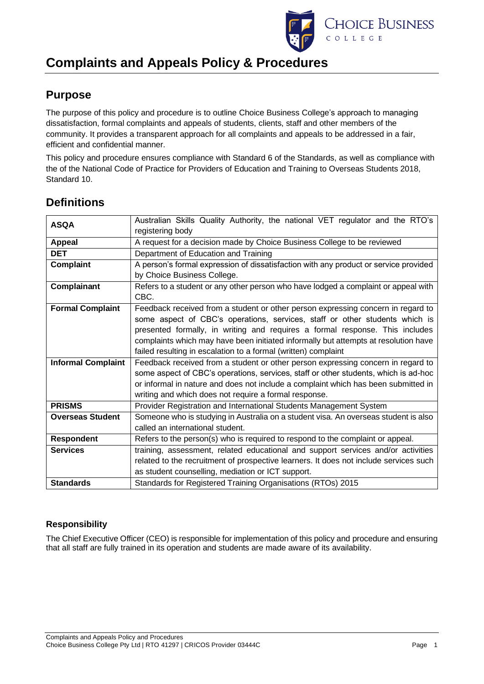

## **Purpose**

The purpose of this policy and procedure is to outline Choice Business College's approach to managing dissatisfaction, formal complaints and appeals of students, clients, staff and other members of the community. It provides a transparent approach for all complaints and appeals to be addressed in a fair, efficient and confidential manner.

This policy and procedure ensures compliance with Standard 6 of the Standards, as well as compliance with the of the National Code of Practice for Providers of Education and Training to Overseas Students 2018, Standard 10.

| <b>ASQA</b>               | Australian Skills Quality Authority, the national VET regulator and the RTO's         |  |
|---------------------------|---------------------------------------------------------------------------------------|--|
|                           | registering body                                                                      |  |
| Appeal                    | A request for a decision made by Choice Business College to be reviewed               |  |
| <b>DET</b>                | Department of Education and Training                                                  |  |
| <b>Complaint</b>          | A person's formal expression of dissatisfaction with any product or service provided  |  |
|                           | by Choice Business College.                                                           |  |
| <b>Complainant</b>        | Refers to a student or any other person who have lodged a complaint or appeal with    |  |
|                           | CBC.                                                                                  |  |
| <b>Formal Complaint</b>   | Feedback received from a student or other person expressing concern in regard to      |  |
|                           | some aspect of CBC's operations, services, staff or other students which is           |  |
|                           | presented formally, in writing and requires a formal response. This includes          |  |
|                           | complaints which may have been initiated informally but attempts at resolution have   |  |
|                           | failed resulting in escalation to a formal (written) complaint                        |  |
| <b>Informal Complaint</b> | Feedback received from a student or other person expressing concern in regard to      |  |
|                           | some aspect of CBC's operations, services, staff or other students, which is ad-hoc   |  |
|                           | or informal in nature and does not include a complaint which has been submitted in    |  |
|                           | writing and which does not require a formal response.                                 |  |
| <b>PRISMS</b>             | Provider Registration and International Students Management System                    |  |
| <b>Overseas Student</b>   | Someone who is studying in Australia on a student visa. An overseas student is also   |  |
|                           | called an international student.                                                      |  |
| Respondent                | Refers to the person(s) who is required to respond to the complaint or appeal.        |  |
| <b>Services</b>           | training, assessment, related educational and support services and/or activities      |  |
|                           | related to the recruitment of prospective learners. It does not include services such |  |
|                           | as student counselling, mediation or ICT support.                                     |  |
| <b>Standards</b>          | Standards for Registered Training Organisations (RTOs) 2015                           |  |

## **Definitions**

## **Responsibility**

The Chief Executive Officer (CEO) is responsible for implementation of this policy and procedure and ensuring that all staff are fully trained in its operation and students are made aware of its availability.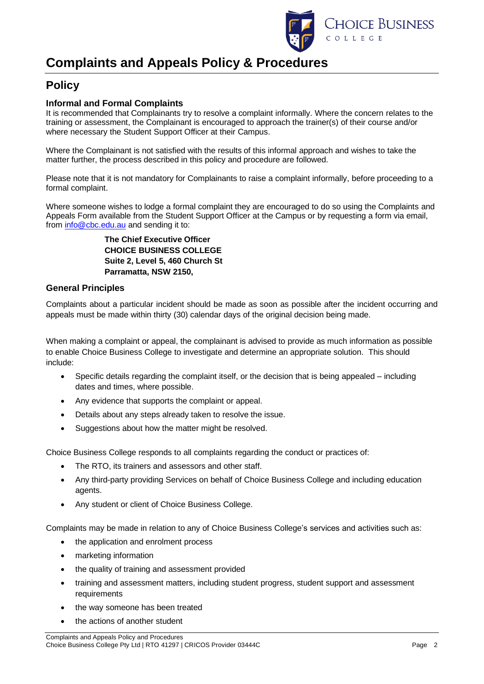

## **Policy**

### **Informal and Formal Complaints**

It is recommended that Complainants try to resolve a complaint informally. Where the concern relates to the training or assessment, the Complainant is encouraged to approach the trainer(s) of their course and/or where necessary the Student Support Officer at their Campus.

Where the Complainant is not satisfied with the results of this informal approach and wishes to take the matter further, the process described in this policy and procedure are followed.

Please note that it is not mandatory for Complainants to raise a complaint informally, before proceeding to a formal complaint.

Where someone wishes to lodge a formal complaint they are encouraged to do so using the Complaints and Appeals Form available from the Student Support Officer at the Campus or by requesting a form via email, from [info@cbc.edu.au](mailto:info@cbc.edu.au) and sending it to:

> **The Chief Executive Officer CHOICE BUSINESS COLLEGE Suite 2, Level 5, 460 Church St Parramatta, NSW 2150,**

### **General Principles**

Complaints about a particular incident should be made as soon as possible after the incident occurring and appeals must be made within thirty (30) calendar days of the original decision being made.

When making a complaint or appeal, the complainant is advised to provide as much information as possible to enable Choice Business College to investigate and determine an appropriate solution. This should include:

- Specific details regarding the complaint itself, or the decision that is being appealed including dates and times, where possible.
- Any evidence that supports the complaint or appeal.
- Details about any steps already taken to resolve the issue.
- Suggestions about how the matter might be resolved.

Choice Business College responds to all complaints regarding the conduct or practices of:

- The RTO, its trainers and assessors and other staff.
- Any third-party providing Services on behalf of Choice Business College and including education agents.
- Any student or client of Choice Business College.

Complaints may be made in relation to any of Choice Business College's services and activities such as:

- the application and enrolment process
- marketing information
- the quality of training and assessment provided
- training and assessment matters, including student progress, student support and assessment requirements
- the way someone has been treated
- the actions of another student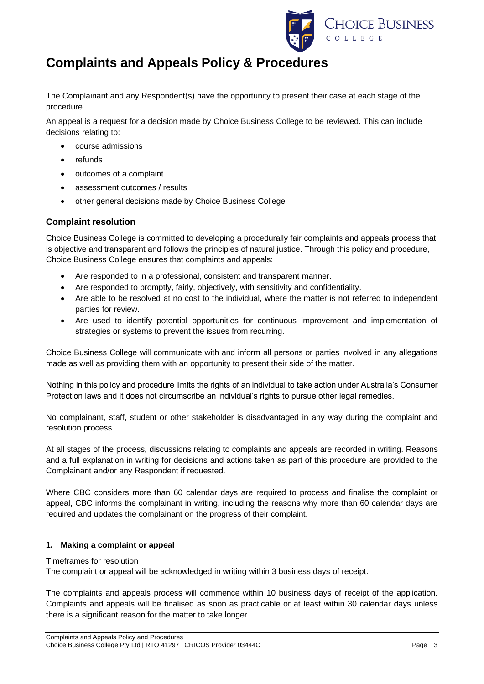

The Complainant and any Respondent(s) have the opportunity to present their case at each stage of the procedure.

An appeal is a request for a decision made by Choice Business College to be reviewed. This can include decisions relating to:

- course admissions
- refunds
- outcomes of a complaint
- assessment outcomes / results
- other general decisions made by Choice Business College

### **Complaint resolution**

Choice Business College is committed to developing a procedurally fair complaints and appeals process that is objective and transparent and follows the principles of natural justice. Through this policy and procedure, Choice Business College ensures that complaints and appeals:

- Are responded to in a professional, consistent and transparent manner.
- Are responded to promptly, fairly, objectively, with sensitivity and confidentiality.
- Are able to be resolved at no cost to the individual, where the matter is not referred to independent parties for review.
- Are used to identify potential opportunities for continuous improvement and implementation of strategies or systems to prevent the issues from recurring.

Choice Business College will communicate with and inform all persons or parties involved in any allegations made as well as providing them with an opportunity to present their side of the matter.

Nothing in this policy and procedure limits the rights of an individual to take action under Australia's Consumer Protection laws and it does not circumscribe an individual's rights to pursue other legal remedies.

No complainant, staff, student or other stakeholder is disadvantaged in any way during the complaint and resolution process.

At all stages of the process, discussions relating to complaints and appeals are recorded in writing. Reasons and a full explanation in writing for decisions and actions taken as part of this procedure are provided to the Complainant and/or any Respondent if requested.

Where CBC considers more than 60 calendar days are required to process and finalise the complaint or appeal, CBC informs the complainant in writing, including the reasons why more than 60 calendar days are required and updates the complainant on the progress of their complaint.

#### **1. Making a complaint or appeal**

#### Timeframes for resolution

The complaint or appeal will be acknowledged in writing within 3 business days of receipt.

The complaints and appeals process will commence within 10 business days of receipt of the application. Complaints and appeals will be finalised as soon as practicable or at least within 30 calendar days unless there is a significant reason for the matter to take longer.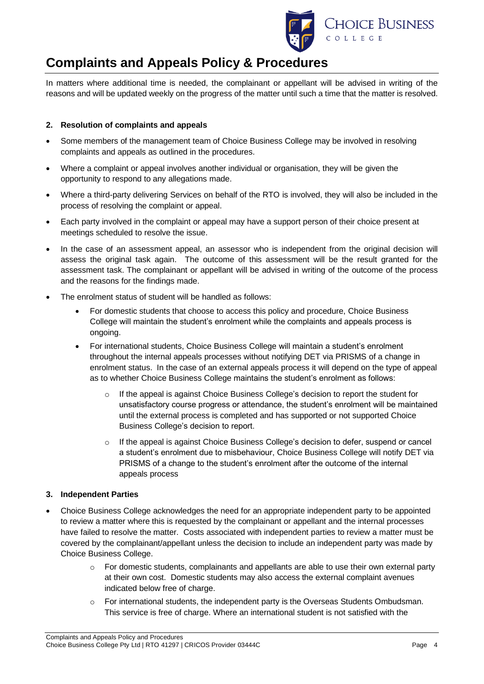

In matters where additional time is needed, the complainant or appellant will be advised in writing of the reasons and will be updated weekly on the progress of the matter until such a time that the matter is resolved.

#### **2. Resolution of complaints and appeals**

- Some members of the management team of Choice Business College may be involved in resolving complaints and appeals as outlined in the procedures.
- Where a complaint or appeal involves another individual or organisation, they will be given the opportunity to respond to any allegations made.
- Where a third-party delivering Services on behalf of the RTO is involved, they will also be included in the process of resolving the complaint or appeal.
- Each party involved in the complaint or appeal may have a support person of their choice present at meetings scheduled to resolve the issue.
- In the case of an assessment appeal, an assessor who is independent from the original decision will assess the original task again. The outcome of this assessment will be the result granted for the assessment task. The complainant or appellant will be advised in writing of the outcome of the process and the reasons for the findings made.
- The enrolment status of student will be handled as follows:
	- For domestic students that choose to access this policy and procedure, Choice Business College will maintain the student's enrolment while the complaints and appeals process is ongoing.
	- For international students, Choice Business College will maintain a student's enrolment throughout the internal appeals processes without notifying DET via PRISMS of a change in enrolment status. In the case of an external appeals process it will depend on the type of appeal as to whether Choice Business College maintains the student's enrolment as follows:
		- If the appeal is against Choice Business College's decision to report the student for unsatisfactory course progress or attendance, the student's enrolment will be maintained until the external process is completed and has supported or not supported Choice Business College's decision to report.
		- $\circ$  If the appeal is against Choice Business College's decision to defer, suspend or cancel a student's enrolment due to misbehaviour, Choice Business College will notify DET via PRISMS of a change to the student's enrolment after the outcome of the internal appeals process

### **3. Independent Parties**

- Choice Business College acknowledges the need for an appropriate independent party to be appointed to review a matter where this is requested by the complainant or appellant and the internal processes have failed to resolve the matter. Costs associated with independent parties to review a matter must be covered by the complainant/appellant unless the decision to include an independent party was made by Choice Business College.
	- $\circ$  For domestic students, complainants and appellants are able to use their own external party at their own cost. Domestic students may also access the external complaint avenues indicated below free of charge.
	- $\circ$  For international students, the independent party is the Overseas Students Ombudsman. This service is free of charge. Where an international student is not satisfied with the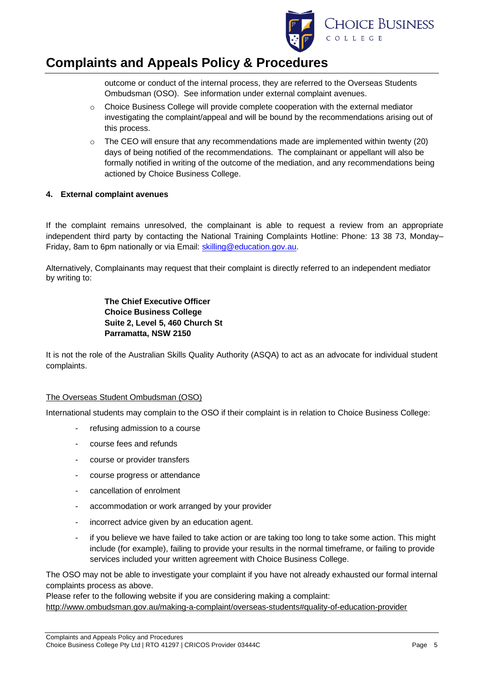

outcome or conduct of the internal process, they are referred to the Overseas Students Ombudsman (OSO). See information under external complaint avenues.

- $\circ$  Choice Business College will provide complete cooperation with the external mediator investigating the complaint/appeal and will be bound by the recommendations arising out of this process.
- $\circ$  The CEO will ensure that any recommendations made are implemented within twenty (20) days of being notified of the recommendations. The complainant or appellant will also be formally notified in writing of the outcome of the mediation, and any recommendations being actioned by Choice Business College.

#### **4. External complaint avenues**

If the complaint remains unresolved, the complainant is able to request a review from an appropriate independent third party by contacting the National Training Complaints Hotline: Phone: 13 38 73, Monday– Friday, 8am to 6pm nationally or via Email: [skilling@education.gov.au.](mailto:skilling@education.gov.au)

Alternatively, Complainants may request that their complaint is directly referred to an independent mediator by writing to:

> **The Chief Executive Officer Choice Business College Suite 2, Level 5, 460 Church St Parramatta, NSW 2150**

It is not the role of the Australian Skills Quality Authority (ASQA) to act as an advocate for individual student complaints.

#### The Overseas Student Ombudsman (OSO)

International students may complain to the OSO if their complaint is in relation to Choice Business College:

- refusing admission to a course
- course fees and refunds
- course or provider transfers
- course progress or attendance
- cancellation of enrolment
- accommodation or work arranged by your provider
- incorrect advice given by an education agent.
- if you believe we have failed to take action or are taking too long to take some action. This might include (for example), failing to provide your results in the normal timeframe, or failing to provide services included your written agreement with Choice Business College.

The OSO may not be able to investigate your complaint if you have not already exhausted our formal internal complaints process as above.

Please refer to the following website if you are considering making a complaint: <http://www.ombudsman.gov.au/making-a-complaint/overseas-students#quality-of-education-provider>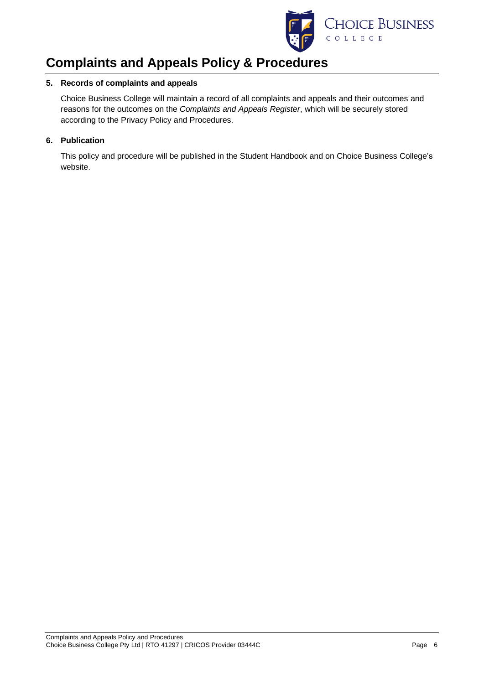

#### **5. Records of complaints and appeals**

Choice Business College will maintain a record of all complaints and appeals and their outcomes and reasons for the outcomes on the *Complaints and Appeals Register*, which will be securely stored according to the Privacy Policy and Procedures.

#### **6. Publication**

This policy and procedure will be published in the Student Handbook and on Choice Business College's website.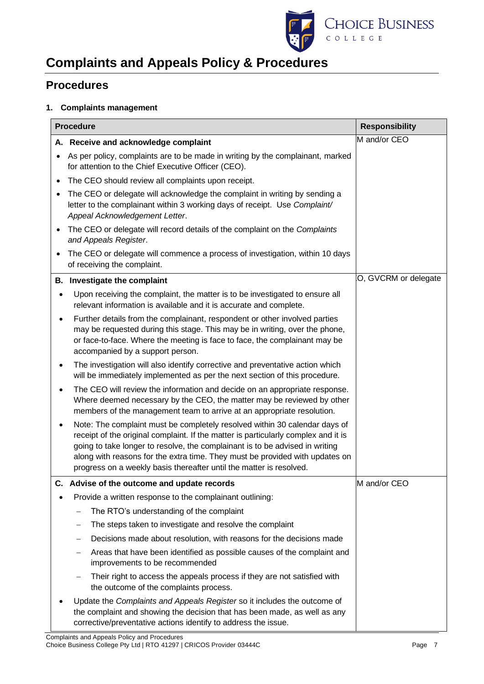

## **Procedures**

### **1. Complaints management**

| <b>Procedure</b> |                                                                                                                                                                                                                                                                                                                                                                                                         | <b>Responsibility</b> |
|------------------|---------------------------------------------------------------------------------------------------------------------------------------------------------------------------------------------------------------------------------------------------------------------------------------------------------------------------------------------------------------------------------------------------------|-----------------------|
|                  | A. Receive and acknowledge complaint                                                                                                                                                                                                                                                                                                                                                                    | M and/or CEO          |
| $\bullet$        | As per policy, complaints are to be made in writing by the complainant, marked<br>for attention to the Chief Executive Officer (CEO).                                                                                                                                                                                                                                                                   |                       |
| ٠                | The CEO should review all complaints upon receipt.                                                                                                                                                                                                                                                                                                                                                      |                       |
| ٠                | The CEO or delegate will acknowledge the complaint in writing by sending a<br>letter to the complainant within 3 working days of receipt. Use Complaint/<br>Appeal Acknowledgement Letter.                                                                                                                                                                                                              |                       |
| ٠                | The CEO or delegate will record details of the complaint on the Complaints<br>and Appeals Register.                                                                                                                                                                                                                                                                                                     |                       |
| ٠                | The CEO or delegate will commence a process of investigation, within 10 days<br>of receiving the complaint.                                                                                                                                                                                                                                                                                             |                       |
|                  | B. Investigate the complaint                                                                                                                                                                                                                                                                                                                                                                            | O, GVCRM or delegate  |
| $\bullet$        | Upon receiving the complaint, the matter is to be investigated to ensure all<br>relevant information is available and it is accurate and complete.                                                                                                                                                                                                                                                      |                       |
| ٠                | Further details from the complainant, respondent or other involved parties<br>may be requested during this stage. This may be in writing, over the phone,<br>or face-to-face. Where the meeting is face to face, the complainant may be<br>accompanied by a support person.                                                                                                                             |                       |
| ٠                | The investigation will also identify corrective and preventative action which<br>will be immediately implemented as per the next section of this procedure.                                                                                                                                                                                                                                             |                       |
| ٠                | The CEO will review the information and decide on an appropriate response.<br>Where deemed necessary by the CEO, the matter may be reviewed by other<br>members of the management team to arrive at an appropriate resolution.                                                                                                                                                                          |                       |
| ٠                | Note: The complaint must be completely resolved within 30 calendar days of<br>receipt of the original complaint. If the matter is particularly complex and it is<br>going to take longer to resolve, the complainant is to be advised in writing<br>along with reasons for the extra time. They must be provided with updates on<br>progress on a weekly basis thereafter until the matter is resolved. |                       |
|                  | Advise of the outcome and update records                                                                                                                                                                                                                                                                                                                                                                | M and/or CEO          |
|                  | Provide a written response to the complainant outlining:                                                                                                                                                                                                                                                                                                                                                |                       |
|                  | The RTO's understanding of the complaint                                                                                                                                                                                                                                                                                                                                                                |                       |
|                  | The steps taken to investigate and resolve the complaint<br>$\qquad \qquad -$                                                                                                                                                                                                                                                                                                                           |                       |
|                  | Decisions made about resolution, with reasons for the decisions made<br>-                                                                                                                                                                                                                                                                                                                               |                       |
|                  | Areas that have been identified as possible causes of the complaint and<br>—<br>improvements to be recommended                                                                                                                                                                                                                                                                                          |                       |
|                  | Their right to access the appeals process if they are not satisfied with<br>-<br>the outcome of the complaints process.                                                                                                                                                                                                                                                                                 |                       |
|                  | Update the Complaints and Appeals Register so it includes the outcome of<br>the complaint and showing the decision that has been made, as well as any<br>corrective/preventative actions identify to address the issue.                                                                                                                                                                                 |                       |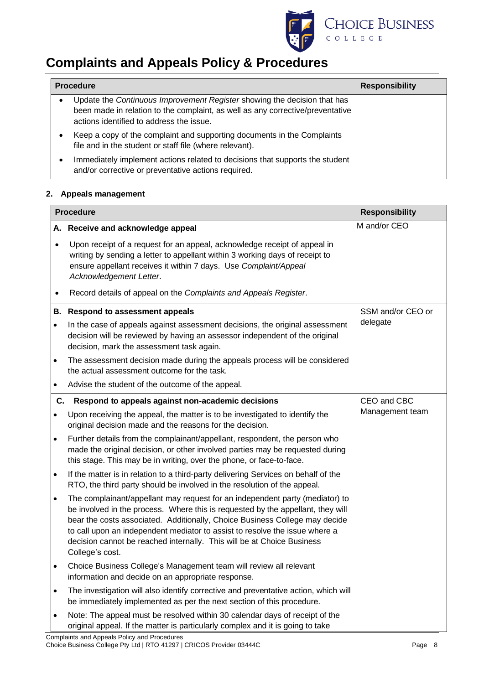

| <b>Procedure</b> |                                                                                                                                                                                                        | <b>Responsibility</b> |
|------------------|--------------------------------------------------------------------------------------------------------------------------------------------------------------------------------------------------------|-----------------------|
|                  | Update the Continuous Improvement Register showing the decision that has<br>been made in relation to the complaint, as well as any corrective/preventative<br>actions identified to address the issue. |                       |
|                  | Keep a copy of the complaint and supporting documents in the Complaints<br>file and in the student or staff file (where relevant).                                                                     |                       |
|                  | Immediately implement actions related to decisions that supports the student<br>and/or corrective or preventative actions required.                                                                    |                       |

#### **2. Appeals management**

| <b>Procedure</b> |                                                                                                                                                                                                                                                                                                                                                                                                                            | <b>Responsibility</b> |
|------------------|----------------------------------------------------------------------------------------------------------------------------------------------------------------------------------------------------------------------------------------------------------------------------------------------------------------------------------------------------------------------------------------------------------------------------|-----------------------|
|                  | A. Receive and acknowledge appeal                                                                                                                                                                                                                                                                                                                                                                                          | M and/or CEO          |
| $\bullet$        | Upon receipt of a request for an appeal, acknowledge receipt of appeal in<br>writing by sending a letter to appellant within 3 working days of receipt to<br>ensure appellant receives it within 7 days. Use Complaint/Appeal<br>Acknowledgement Letter.                                                                                                                                                                   |                       |
| $\bullet$        | Record details of appeal on the Complaints and Appeals Register.                                                                                                                                                                                                                                                                                                                                                           |                       |
|                  | <b>B.</b> Respond to assessment appeals                                                                                                                                                                                                                                                                                                                                                                                    | SSM and/or CEO or     |
| $\bullet$        | In the case of appeals against assessment decisions, the original assessment<br>decision will be reviewed by having an assessor independent of the original<br>decision, mark the assessment task again.                                                                                                                                                                                                                   | delegate              |
| $\bullet$        | The assessment decision made during the appeals process will be considered<br>the actual assessment outcome for the task.                                                                                                                                                                                                                                                                                                  |                       |
| $\bullet$        | Advise the student of the outcome of the appeal.                                                                                                                                                                                                                                                                                                                                                                           |                       |
| C.               | Respond to appeals against non-academic decisions                                                                                                                                                                                                                                                                                                                                                                          | CEO and CBC           |
| $\bullet$        | Upon receiving the appeal, the matter is to be investigated to identify the<br>original decision made and the reasons for the decision.                                                                                                                                                                                                                                                                                    | Management team       |
| $\bullet$        | Further details from the complainant/appellant, respondent, the person who<br>made the original decision, or other involved parties may be requested during<br>this stage. This may be in writing, over the phone, or face-to-face.                                                                                                                                                                                        |                       |
| $\bullet$        | If the matter is in relation to a third-party delivering Services on behalf of the<br>RTO, the third party should be involved in the resolution of the appeal.                                                                                                                                                                                                                                                             |                       |
| $\bullet$        | The complainant/appellant may request for an independent party (mediator) to<br>be involved in the process. Where this is requested by the appellant, they will<br>bear the costs associated. Additionally, Choice Business College may decide<br>to call upon an independent mediator to assist to resolve the issue where a<br>decision cannot be reached internally. This will be at Choice Business<br>College's cost. |                       |
| $\bullet$        | Choice Business College's Management team will review all relevant<br>information and decide on an appropriate response.                                                                                                                                                                                                                                                                                                   |                       |
| $\bullet$        | The investigation will also identify corrective and preventative action, which will<br>be immediately implemented as per the next section of this procedure.                                                                                                                                                                                                                                                               |                       |
| $\bullet$        | Note: The appeal must be resolved within 30 calendar days of receipt of the<br>original appeal. If the matter is particularly complex and it is going to take                                                                                                                                                                                                                                                              |                       |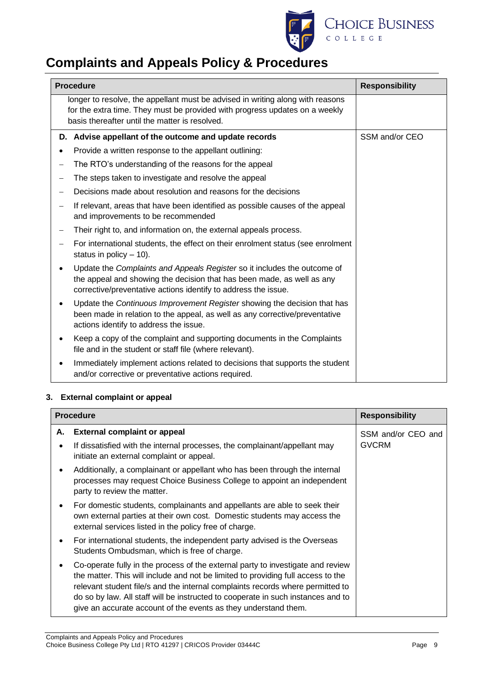

|                          | <b>Procedure</b><br><b>Responsibility</b>                                                                                                                                                                            |                |
|--------------------------|----------------------------------------------------------------------------------------------------------------------------------------------------------------------------------------------------------------------|----------------|
|                          | longer to resolve, the appellant must be advised in writing along with reasons<br>for the extra time. They must be provided with progress updates on a weekly<br>basis thereafter until the matter is resolved.      |                |
| D.                       | Advise appellant of the outcome and update records                                                                                                                                                                   | SSM and/or CEO |
|                          | Provide a written response to the appellant outlining:                                                                                                                                                               |                |
| $\overline{\phantom{0}}$ | The RTO's understanding of the reasons for the appeal                                                                                                                                                                |                |
|                          | The steps taken to investigate and resolve the appeal                                                                                                                                                                |                |
| $\overline{\phantom{0}}$ | Decisions made about resolution and reasons for the decisions                                                                                                                                                        |                |
|                          | If relevant, areas that have been identified as possible causes of the appeal<br>and improvements to be recommended                                                                                                  |                |
|                          | Their right to, and information on, the external appeals process.                                                                                                                                                    |                |
|                          | For international students, the effect on their enrolment status (see enrolment<br>status in policy $-10$ ).                                                                                                         |                |
|                          | Update the Complaints and Appeals Register so it includes the outcome of<br>the appeal and showing the decision that has been made, as well as any<br>corrective/preventative actions identify to address the issue. |                |
|                          | Update the Continuous Improvement Register showing the decision that has<br>been made in relation to the appeal, as well as any corrective/preventative<br>actions identify to address the issue.                    |                |
|                          | Keep a copy of the complaint and supporting documents in the Complaints<br>file and in the student or staff file (where relevant).                                                                                   |                |
|                          | Immediately implement actions related to decisions that supports the student<br>and/or corrective or preventative actions required.                                                                                  |                |

### **3. External complaint or appeal**

| <b>Procedure</b> |                                                                                                                                                                                                                                                                                                                                                                                                              | <b>Responsibility</b> |
|------------------|--------------------------------------------------------------------------------------------------------------------------------------------------------------------------------------------------------------------------------------------------------------------------------------------------------------------------------------------------------------------------------------------------------------|-----------------------|
| А.               | <b>External complaint or appeal</b>                                                                                                                                                                                                                                                                                                                                                                          | SSM and/or CEO and    |
|                  | If dissatisfied with the internal processes, the complainant/appellant may<br>initiate an external complaint or appeal.                                                                                                                                                                                                                                                                                      | <b>GVCRM</b>          |
| ٠                | Additionally, a complainant or appellant who has been through the internal<br>processes may request Choice Business College to appoint an independent<br>party to review the matter.                                                                                                                                                                                                                         |                       |
| $\bullet$        | For domestic students, complainants and appellants are able to seek their<br>own external parties at their own cost. Domestic students may access the<br>external services listed in the policy free of charge.                                                                                                                                                                                              |                       |
|                  | For international students, the independent party advised is the Overseas<br>Students Ombudsman, which is free of charge.                                                                                                                                                                                                                                                                                    |                       |
| ٠                | Co-operate fully in the process of the external party to investigate and review<br>the matter. This will include and not be limited to providing full access to the<br>relevant student file/s and the internal complaints records where permitted to<br>do so by law. All staff will be instructed to cooperate in such instances and to<br>give an accurate account of the events as they understand them. |                       |